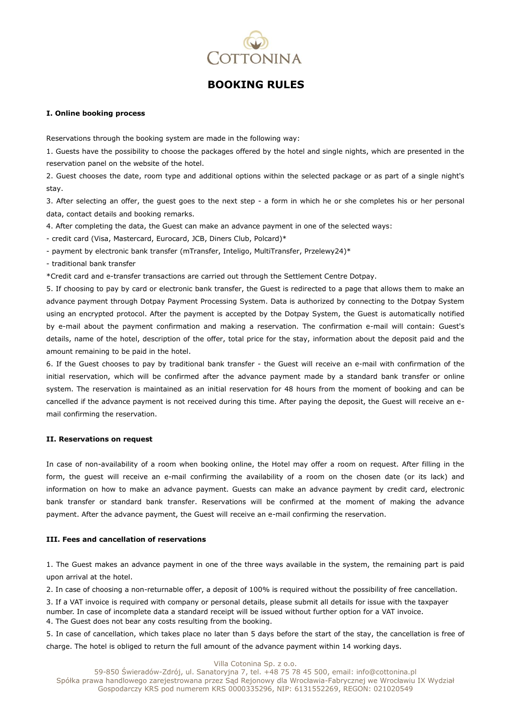

# **BOOKING RULES**

## **I. Online booking process**

Reservations through the booking system are made in the following way:

1. Guests have the possibility to choose the packages offered by the hotel and single nights, which are presented in the reservation panel on the website of the hotel.

2. Guest chooses the date, room type and additional options within the selected package or as part of a single night's stay.

3. After selecting an offer, the guest goes to the next step - a form in which he or she completes his or her personal data, contact details and booking remarks.

4. After completing the data, the Guest can make an advance payment in one of the selected ways:

- credit card (Visa, Mastercard, Eurocard, JCB, Diners Club, Polcard)\*

- payment by electronic bank transfer (mTransfer, Inteligo, MultiTransfer, Przelewy24)\*

- traditional bank transfer

\*Credit card and e-transfer transactions are carried out through the Settlement Centre Dotpay.

5. If choosing to pay by card or electronic bank transfer, the Guest is redirected to a page that allows them to make an advance payment through Dotpay Payment Processing System. Data is authorized by connecting to the Dotpay System using an encrypted protocol. After the payment is accepted by the Dotpay System, the Guest is automatically notified by e-mail about the payment confirmation and making a reservation. The confirmation e-mail will contain: Guest's details, name of the hotel, description of the offer, total price for the stay, information about the deposit paid and the amount remaining to be paid in the hotel.

6. If the Guest chooses to pay by traditional bank transfer - the Guest will receive an e-mail with confirmation of the initial reservation, which will be confirmed after the advance payment made by a standard bank transfer or online system. The reservation is maintained as an initial reservation for 48 hours from the moment of booking and can be cancelled if the advance payment is not received during this time. After paying the deposit, the Guest will receive an email confirming the reservation.

## **II. Reservations on request**

In case of non-availability of a room when booking online, the Hotel may offer a room on request. After filling in the form, the guest will receive an e-mail confirming the availability of a room on the chosen date (or its lack) and information on how to make an advance payment. Guests can make an advance payment by credit card, electronic bank transfer or standard bank transfer. Reservations will be confirmed at the moment of making the advance payment. After the advance payment, the Guest will receive an e-mail confirming the reservation.

## **III. Fees and cancellation of reservations**

1. The Guest makes an advance payment in one of the three ways available in the system, the remaining part is paid upon arrival at the hotel.

2. In case of choosing a non-returnable offer, a deposit of 100% is required without the possibility of free cancellation.

3. If a VAT invoice is required with company or personal details, please submit all details for issue with the taxpayer number. In case of incomplete data a standard receipt will be issued without further option for a VAT invoice. 4. The Guest does not bear any costs resulting from the booking.

5. In case of cancellation, which takes place no later than 5 days before the start of the stay, the cancellation is free of charge. The hotel is obliged to return the full amount of the advance payment within 14 working days.

#### Villa Cotonina Sp. z o.o.

59-850 Świeradów-Zdrój, ul. Sanatoryjna 7, tel. +48 75 78 45 500, email: info@cottonina.pl Spółka prawa handlowego zarejestrowana przez Sąd Rejonowy dla Wrocławia-Fabrycznej we Wrocławiu IX Wydział Gospodarczy KRS pod numerem KRS 0000335296, NIP: 6131552269, REGON: 021020549